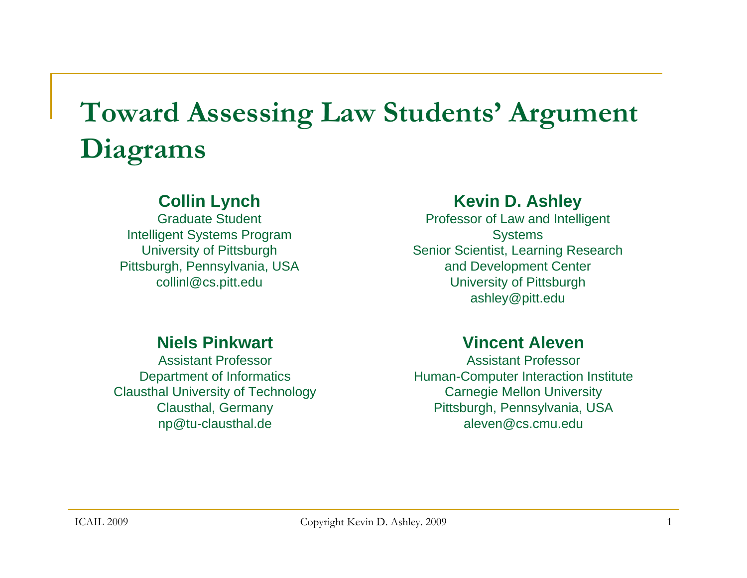## **Toward Assessing Law Students' Argument Diagrams**

#### **Collin Lynch**

Graduate StudentIntelligent Systems Program University of Pittsburgh Pittsburgh, Pennsylvania, USA collinl@cs.pitt.edu

#### **Kevin D. Ashley**

Professor of Law and Intelligent **Systems** Senior Scientist, Learning Research and Development Center University of Pittsburgh ashley@pitt.edu

#### **Niels Pinkwart**

Assistant ProfessorDepartment of Informatics Clausthal University of Technology Clausthal, Germany np@tu-clausthal.de

#### **Vincent Aleven**

Assistant ProfessorHuman-Computer Interaction Institute Carnegie Mellon University Pittsburgh, Pennsylvania, USA aleven@cs.cmu.edu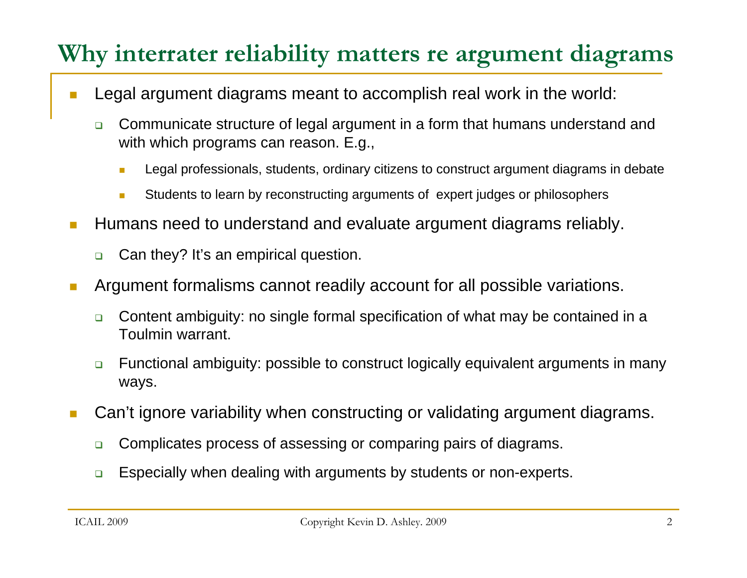### **Why interrater reliability matters re argument diagrams**

- $\Box$  Legal argument diagrams meant to accomplish real work in the world:
	- $\Box$  Communicate structure of legal argument in a form that humans understand and with which programs can reason. E.g.,
		- **In** Legal professionals, students, ordinary citizens to construct argument diagrams in debate
		- × Students to learn by reconstructing arguments of expert judges or philosophers
- T. Humans need to understand and evaluate argument diagrams reliably.
	- $\Box$ Can they? It's an empirical question.
- $\mathcal{C}^{\mathcal{A}}$  Argument formalisms cannot readily account for all possible variations.
	- $\Box$  Content ambiguity: no single formal specification of what may be contained in a Toulmin warrant.
	- $\Box$  Functional ambiguity: possible to construct logically equivalent arguments in many ways.
- Can't ignore variability when constructing or validating argument diagrams.
	- $\Box$ Complicates process of assessing or comparing pairs of diagrams.
	- $\Box$ Especially when dealing with arguments by students or non-experts.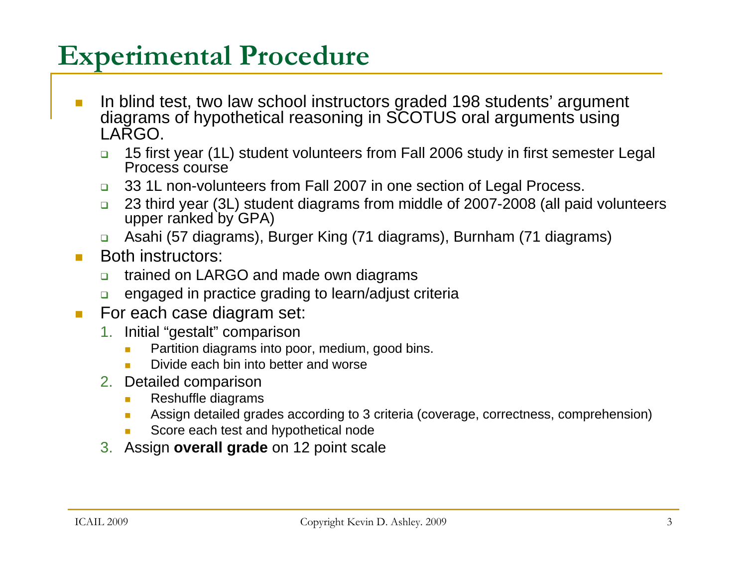## **Experimental Procedure**

- **Iom** In blind test, two law school instructors graded 198 students' argument diagrams of hypothetical reasoning in SCOTUS oral arguments using LARGO.
	- $\Box$  15 first year (1L) student volunteers from Fall 2006 study in first semester Legal Process course
	- $\Box$ 33 1L non-volunteers from Fall 2007 in one section of Legal Process.
	- $\Box$  23 third year (3L) student diagrams from middle of 2007-2008 (all paid volunteers upper ranked by GPA)
	- $\Box$ Asahi (57 diagrams), Burger King (71 diagrams), Burnham (71 diagrams)
- $\mathcal{L}_{\mathcal{A}}$  Both instructors:
	- $\Box$ trained on LARGO and made own diagrams
	- ❏ engaged in practice grading to learn/adjust criteria
- $\mathcal{L}^{\mathcal{L}}$  For each case diagram set:
	- 1. Initial "gestalt" comparison
		- $\overline{\phantom{a}}$ Partition diagrams into poor, medium, good bins.
		- m. Divide each bin into better and worse
	- 2. Detailed comparison
		- $\mathcal{L}_{\mathcal{A}}$ Reshuffle diagrams
		- $\mathcal{L}_{\mathcal{A}}$ Assign detailed grades according to 3 criteria (coverage, correctness, comprehension)
		- Score each test and hypothetical node
	- 3. Assign **overall grade** on 12 point scale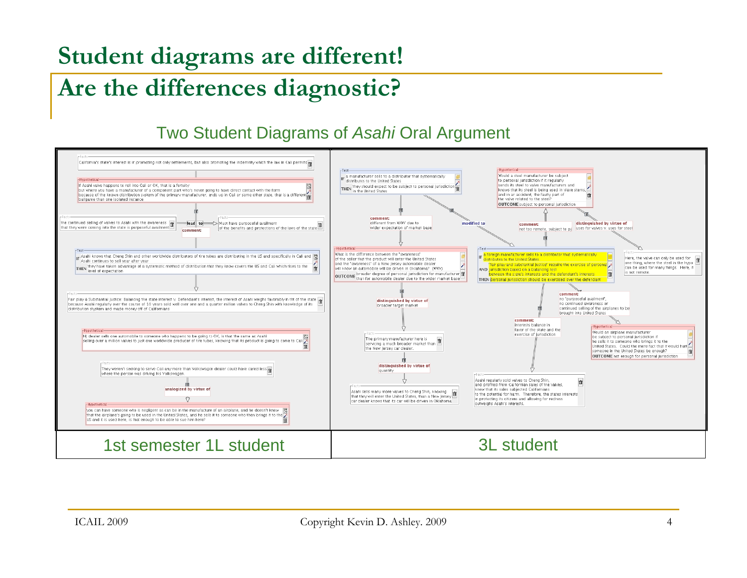### **Student diagrams are different!**

### **Are the differences diagnostic?**

#### Two Student Diagrams of *Asahi* Oral Argument

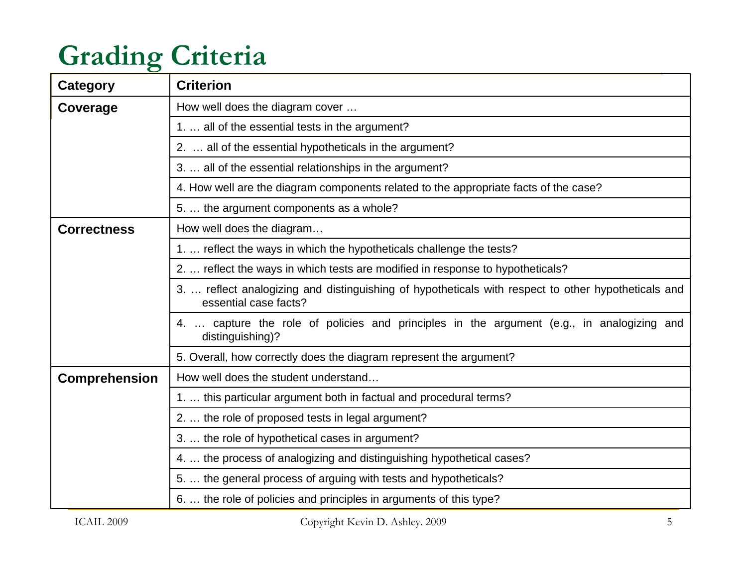## **Grading Criteria**

| Category             | <b>Criterion</b>                                                                                                             |
|----------------------|------------------------------------------------------------------------------------------------------------------------------|
| Coverage             | How well does the diagram cover                                                                                              |
|                      | 1.  all of the essential tests in the argument?                                                                              |
|                      | 2.  all of the essential hypotheticals in the argument?                                                                      |
|                      | 3.  all of the essential relationships in the argument?                                                                      |
|                      | 4. How well are the diagram components related to the appropriate facts of the case?                                         |
|                      | 5.  the argument components as a whole?                                                                                      |
| <b>Correctness</b>   | How well does the diagram                                                                                                    |
|                      | 1.  reflect the ways in which the hypotheticals challenge the tests?                                                         |
|                      | 2.  reflect the ways in which tests are modified in response to hypotheticals?                                               |
|                      | 3.  reflect analogizing and distinguishing of hypotheticals with respect to other hypotheticals and<br>essential case facts? |
|                      | 4.  capture the role of policies and principles in the argument (e.g., in analogizing and<br>distinguishing)?                |
|                      | 5. Overall, how correctly does the diagram represent the argument?                                                           |
| <b>Comprehension</b> | How well does the student understand                                                                                         |
|                      | 1.  this particular argument both in factual and procedural terms?                                                           |
|                      | 2.  the role of proposed tests in legal argument?                                                                            |
|                      | 3.  the role of hypothetical cases in argument?                                                                              |
|                      | 4.  the process of analogizing and distinguishing hypothetical cases?                                                        |
|                      | 5.  the general process of arguing with tests and hypotheticals?                                                             |
|                      | 6.  the role of policies and principles in arguments of this type?                                                           |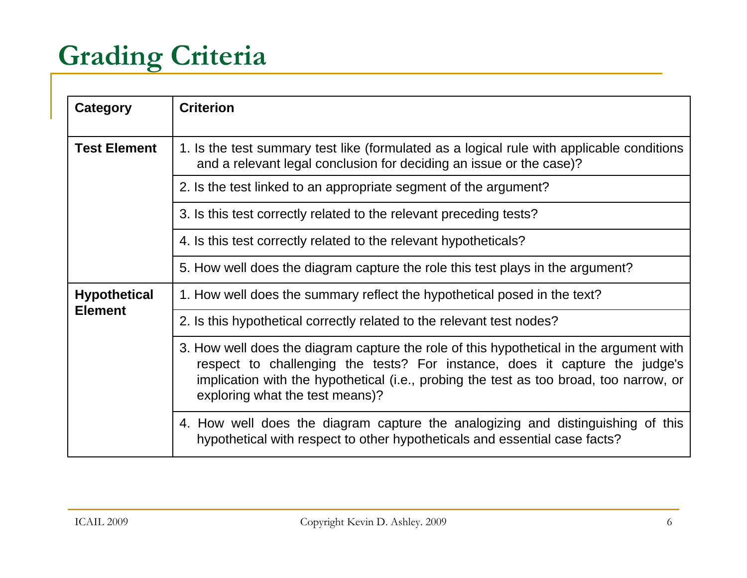# **Grading Criteria**

| Category                              | <b>Criterion</b>                                                                                                                                                                                                                                                                                    |
|---------------------------------------|-----------------------------------------------------------------------------------------------------------------------------------------------------------------------------------------------------------------------------------------------------------------------------------------------------|
| <b>Test Element</b>                   | 1. Is the test summary test like (formulated as a logical rule with applicable conditions<br>and a relevant legal conclusion for deciding an issue or the case)?                                                                                                                                    |
|                                       | 2. Is the test linked to an appropriate segment of the argument?                                                                                                                                                                                                                                    |
|                                       | 3. Is this test correctly related to the relevant preceding tests?                                                                                                                                                                                                                                  |
|                                       | 4. Is this test correctly related to the relevant hypotheticals?                                                                                                                                                                                                                                    |
|                                       | 5. How well does the diagram capture the role this test plays in the argument?                                                                                                                                                                                                                      |
| <b>Hypothetical</b><br><b>Element</b> | 1. How well does the summary reflect the hypothetical posed in the text?                                                                                                                                                                                                                            |
|                                       | 2. Is this hypothetical correctly related to the relevant test nodes?                                                                                                                                                                                                                               |
|                                       | 3. How well does the diagram capture the role of this hypothetical in the argument with<br>respect to challenging the tests? For instance, does it capture the judge's<br>implication with the hypothetical (i.e., probing the test as too broad, too narrow, or<br>exploring what the test means)? |
|                                       | 4. How well does the diagram capture the analogizing and distinguishing of this<br>hypothetical with respect to other hypotheticals and essential case facts?                                                                                                                                       |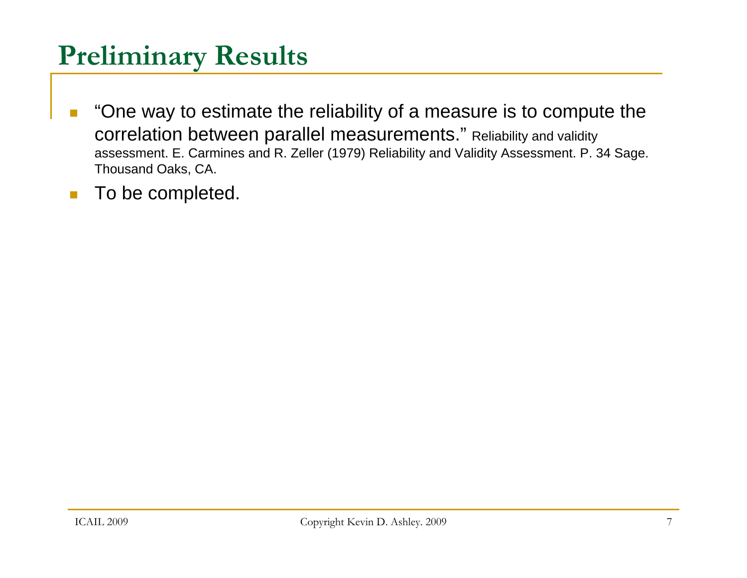## **Preliminary Results**

- П "One way to estimate the reliability of a measure is to compute the correlation between parallel measurements." Reliability and validity assessment. E. Carmines and R. Zeller (1979) Reliability and Validity Assessment. P. 34 Sage. Thousand Oaks, CA.
- П To be completed.